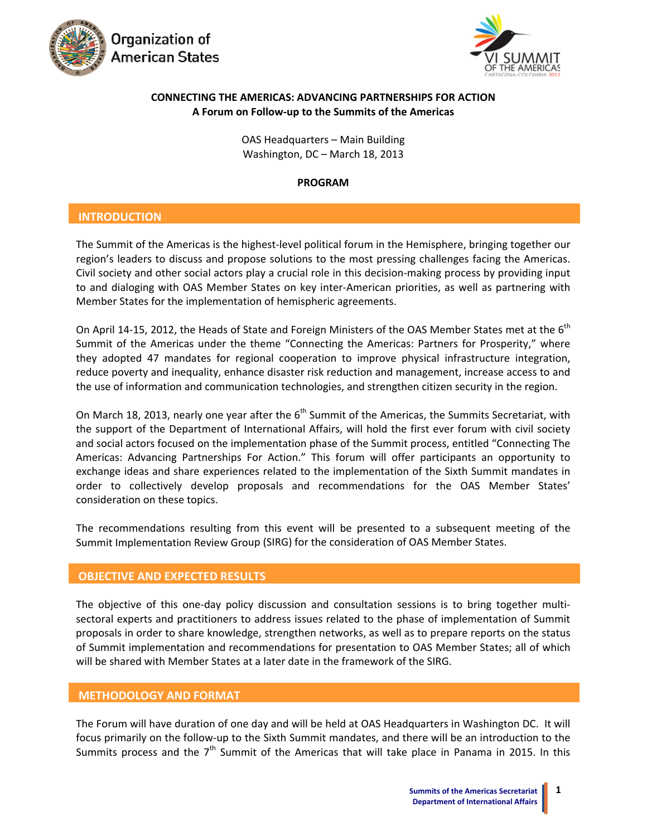



## **CONNECTING THE AMERICAS: ADVANCING PARTNERSHIPS FOR ACTION A Forum on Follow‐up to the Summits of the Americas**

OAS Headquarters – Main Building Washington, DC – March 18, 2013

#### **PROGRAM**

# **INTRODUCTION**

The Summit of the Americas is the highest-level political forum in the Hemisphere, bringing together our region's leaders to discuss and propose solutions to the most pressing challenges facing the Americas. Civil society and other social actors play a crucial role in this decision‐making process by providing input to and dialoging with OAS Member States on key inter‐American priorities, as well as partnering with Member States for the implementation of hemispheric agreements.

On April 14-15, 2012, the Heads of State and Foreign Ministers of the OAS Member States met at the 6<sup>th</sup> Summit of the Americas under the theme "Connecting the Americas: Partners for Prosperity," where they adopted 47 mandates for regional cooperation to improve physical infrastructure integration, reduce poverty and inequality, enhance disaster risk reduction and management, increase access to and the use of information and communication technologies, and strengthen citizen security in the region.

On March 18, 2013, nearly one year after the 6<sup>th</sup> Summit of the Americas, the Summits Secretariat, with the support of the Department of International Affairs, will hold the first ever forum with civil society and social actors focused on the implementation phase of the Summit process, entitled "Connecting The Americas: Advancing Partnerships For Action." This forum will offer participants an opportunity to exchange ideas and share experiences related to the implementation of the Sixth Summit mandates in order to collectively develop proposals and recommendations for the OAS Member States' consideration on these topics.

The recommendations resulting from this event will be presented to a subsequent meeting of the Summit Implementation Review Group (SIRG) for the consideration of OAS Member States.

# **INTRODUCTION OBJECTIVE ANDEXPECTED RESULTS**

The objective of this one-day policy discussion and consultation sessions is to bring together multisectoral experts and practitioners to address issues related to the phase of implementation of Summit proposals in order to share knowledge, strengthen networks, as well as to prepare reports on the status of Summit implementation and recommendations for presentation to OAS Member States; all of which will be shared with Member States at a later date in the framework of the SIRG.

## **METHODOLOGY AND FORMAT**

The Forum will have duration of one day and will be held at OAS Headquarters in Washington DC. It will focus primarily on the follow‐up to the Sixth Summit mandates, and there will be an introduction to the Summits process and the  $7<sup>th</sup>$  Summit of the Americas that will take place in Panama in 2015. In this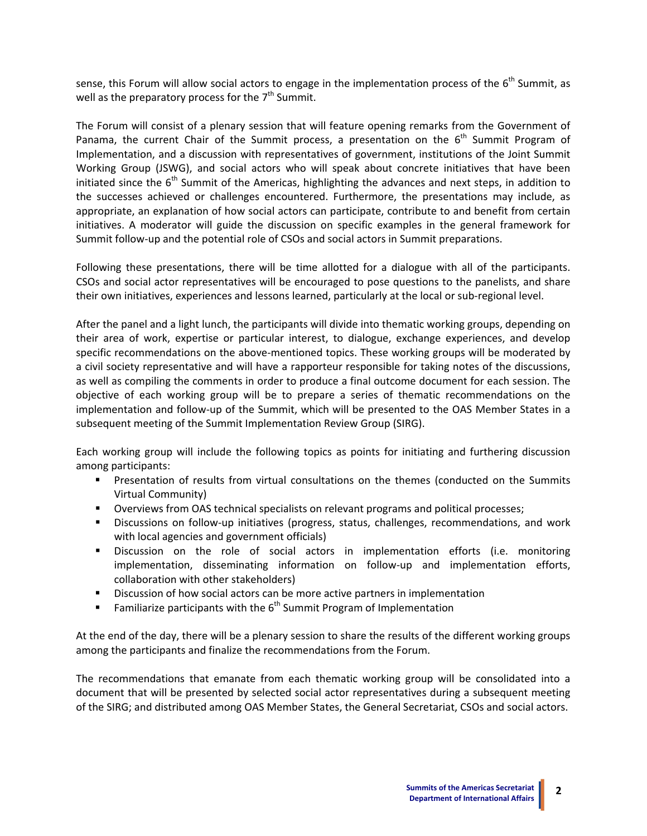sense, this Forum will allow social actors to engage in the implementation process of the  $6<sup>th</sup>$  Summit, as well as the preparatory process for the  $7<sup>th</sup>$  Summit.

The Forum will consist of a plenary session that will feature opening remarks from the Government of Panama, the current Chair of the Summit process, a presentation on the  $6<sup>th</sup>$  Summit Program of Implementation, and a discussion with representatives of government, institutions of the Joint Summit Working Group (JSWG), and social actors who will speak about concrete initiatives that have been initiated since the  $6<sup>th</sup>$  Summit of the Americas, highlighting the advances and next steps, in addition to the successes achieved or challenges encountered. Furthermore, the presentations may include, as appropriate, an explanation of how social actors can participate, contribute to and benefit from certain initiatives. A moderator will guide the discussion on specific examples in the general framework for Summit follow‐up and the potential role of CSOs and social actors in Summit preparations.

Following these presentations, there will be time allotted for a dialogue with all of the participants. CSOs and social actor representatives will be encouraged to pose questions to the panelists, and share their own initiatives, experiences and lessons learned, particularly at the local or sub‐regional level.

After the panel and a light lunch, the participants will divide into thematic working groups, depending on their area of work, expertise or particular interest, to dialogue, exchange experiences, and develop specific recommendations on the above-mentioned topics. These working groups will be moderated by a civil society representative and will have a rapporteur responsible for taking notes of the discussions, as well as compiling the comments in order to produce a final outcome document for each session. The objective of each working group will be to prepare a series of thematic recommendations on the implementation and follow‐up of the Summit, which will be presented to the OAS Member States in a subsequent meeting of the Summit Implementation Review Group (SIRG).

Each working group will include the following topics as points for initiating and furthering discussion among participants:

- **Presentation of results from virtual consultations on the themes (conducted on the Summits** Virtual Community)
- Overviews from OAS technical specialists on relevant programs and political processes;
- Discussions on follow-up initiatives (progress, status, challenges, recommendations, and work with local agencies and government officials)
- Discussion on the role of social actors in implementation efforts (i.e. monitoring implementation, disseminating information on follow-up and implementation efforts, collaboration with other stakeholders)
- Discussion of how social actors can be more active partners in implementation
- Familiarize participants with the  $6<sup>th</sup>$  Summit Program of Implementation

At the end of the day, there will be a plenary session to share the results of the different working groups among the participants and finalize the recommendations from the Forum.

The recommendations that emanate from each thematic working group will be consolidated into a document that will be presented by selected social actor representatives during a subsequent meeting of the SIRG; and distributed among OAS Member States, the General Secretariat, CSOs and social actors.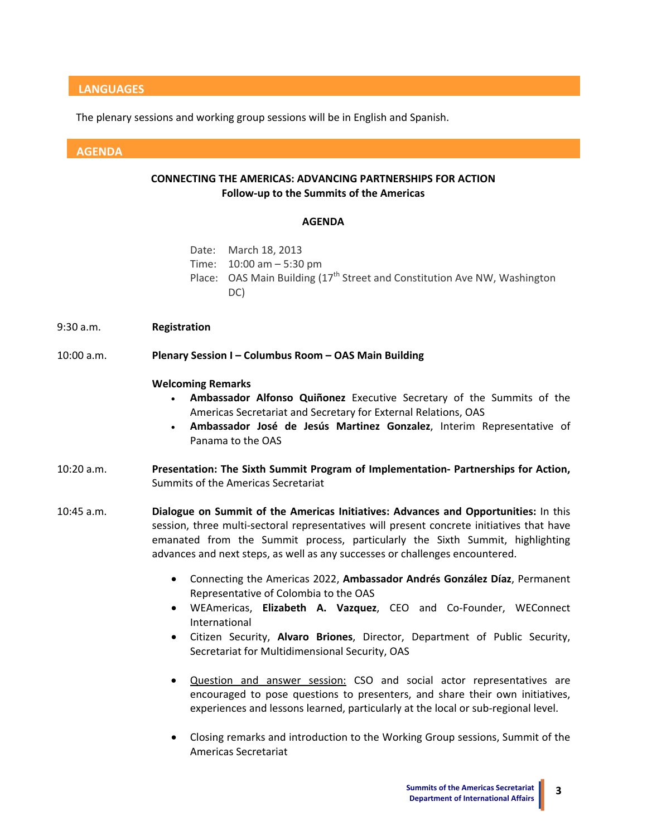## **LANGUAGES**

The plenary sessions and working group sessions will be in English and Spanish.

#### **AGENDA**

## **CONNECTING THE AMERICAS: ADVANCING PARTNERSHIPS FOR ACTION Follow‐up to the Summits of the Americas**

#### **AGENDA**

| Date: March 18, 2013                                                                  |
|---------------------------------------------------------------------------------------|
| Time: $10:00$ am $-5:30$ pm                                                           |
| Place: OAS Main Building (17 <sup>th</sup> Street and Constitution Ave NW, Washington |
| DC)                                                                                   |

9:30 a.m. **Registration**

#### 10:00 a.m. **Plenary Session I – Columbus Room – OAS Main Building**

#### **Welcoming Remarks**

- **Ambassador Alfonso Quiñonez** Executive Secretary of the Summits of the Americas Secretariat and Secretary for External Relations, OAS
- **Ambassador José de Jesús Martinez Gonzalez**, Interim Representative of Panama to the OAS
- 10:20 a.m. **Presentation: The Sixth Summit Program of Implementation‐ Partnerships for Action,** Summits of the Americas Secretariat
- 10:45 a.m. **Dialogue on Summit of the Americas Initiatives: Advances and Opportunities:** In this session, three multi-sectoral representatives will present concrete initiatives that have emanated from the Summit process, particularly the Sixth Summit, highlighting advances and next steps, as well as any successes or challenges encountered.
	- Connecting the Americas 2022, **Ambassador Andrés González Díaz**, Permanent Representative of Colombia to the OAS
	- WEAmericas, **Elizabeth A. Vazquez**, CEO and Co‐Founder, WEConnect International
	- Citizen Security, **Alvaro Briones**, Director, Department of Public Security, Secretariat for Multidimensional Security, OAS
	- Question and answer session: CSO and social actor representatives are encouraged to pose questions to presenters, and share their own initiatives, experiences and lessons learned, particularly at the local or sub-regional level.
	- Closing remarks and introduction to the Working Group sessions, Summit of the Americas Secretariat